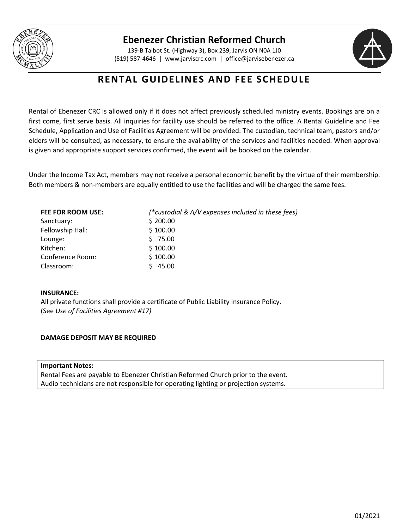

### **Ebenezer Christian Reformed Church**

139-B Talbot St. (Highway 3), Box 239, Jarvis ON N0A 1J0 (519) 587-4646 | [www.jarviscrc.com](http://www.jarviscrc.com/) | [office@jarvisebenezer.ca](mailto:office@jarvisebenezer.ca)



## **RENTAL GUIDELINES AND FEE SCHEDULE**

Rental of Ebenezer CRC is allowed only if it does not affect previously scheduled ministry events. Bookings are on a first come, first serve basis. All inquiries for facility use should be referred to the office. A Rental Guideline and Fee Schedule, Application and Use of Facilities Agreement will be provided. The custodian, technical team, pastors and/or elders will be consulted, as necessary, to ensure the availability of the services and facilities needed. When approval is given and appropriate support services confirmed, the event will be booked on the calendar.

Under the Income Tax Act, members may not receive a personal economic benefit by the virtue of their membership. Both members & non-members are equally entitled to use the facilities and will be charged the same fees.

| FEE FOR ROOM USE: | (*custodial & A/V expenses included in these fees) |
|-------------------|----------------------------------------------------|
| Sanctuary:        | \$200.00                                           |
| Fellowship Hall:  | \$100.00                                           |
| Lounge:           | \$75.00                                            |
| Kitchen:          | \$100.00                                           |
| Conference Room:  | \$100.00                                           |
| Classroom:        | 45.00                                              |

### **INSURANCE:**

All private functions shall provide a certificate of Public Liability Insurance Policy. (See *Use of Facilities Agreement #17)*

### **DAMAGE DEPOSIT MAY BE REQUIRED**

**Important Notes:** Rental Fees are payable to Ebenezer Christian Reformed Church prior to the event. Audio technicians are not responsible for operating lighting or projection systems.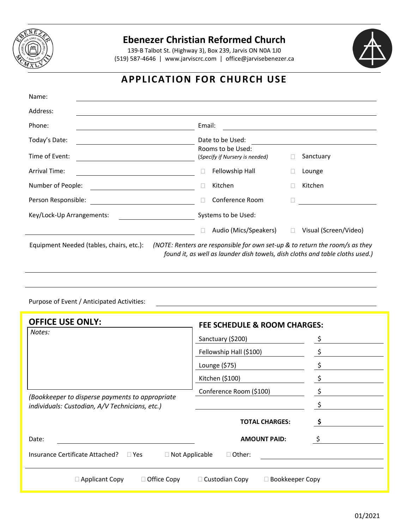

## **Ebenezer Christian Reformed Church**

139-B Talbot St. (Highway 3), Box 239, Jarvis ON N0A 1J0 (519) 587-4646 | [www.jarviscrc.com](http://www.jarviscrc.com/) | [office@jarvisebenezer.ca](mailto:office@jarvisebenezer.ca)



# **APPLICATION FOR CHURCH USE**

| Name:                                                                                                                                                                                                                                                                                                                                                          |                                                     |                                 |  |
|----------------------------------------------------------------------------------------------------------------------------------------------------------------------------------------------------------------------------------------------------------------------------------------------------------------------------------------------------------------|-----------------------------------------------------|---------------------------------|--|
| Address:                                                                                                                                                                                                                                                                                                                                                       |                                                     |                                 |  |
| Phone:                                                                                                                                                                                                                                                                                                                                                         | Email:                                              |                                 |  |
| Today's Date:                                                                                                                                                                                                                                                                                                                                                  | Date to be Used:                                    |                                 |  |
| Time of Event:                                                                                                                                                                                                                                                                                                                                                 | Rooms to be Used:<br>(Specify if Nursery is needed) | Sanctuary                       |  |
| <b>Arrival Time:</b>                                                                                                                                                                                                                                                                                                                                           | Fellowship Hall                                     | Lounge                          |  |
| Number of People:                                                                                                                                                                                                                                                                                                                                              | Kitchen                                             | Kitchen                         |  |
| Person Responsible:                                                                                                                                                                                                                                                                                                                                            | Conference Room                                     |                                 |  |
| Key/Lock-Up Arrangements:                                                                                                                                                                                                                                                                                                                                      | Systems to be Used:                                 |                                 |  |
|                                                                                                                                                                                                                                                                                                                                                                | Audio (Mics/Speakers)                               | Visual (Screen/Video)<br>$\Box$ |  |
| (NOTE: Renters are responsible for own set-up & to return the room/s as they<br>Equipment Needed (tables, chairs, etc.):<br>$\mathcal{L}$ , and the state of the state of the state of the state of the state of the state of the state of the state of the state of the state of the state of the state of the state of the state of the state of the state o |                                                     |                                 |  |

*found it, as well as launder dish towels, dish cloths and table cloths used.)*

#### Purpose of Event / Anticipated Activities:

| <b>OFFICE USE ONLY:</b>                                                | <b>FEE SCHEDULE &amp; ROOM CHARGES:</b>         |   |
|------------------------------------------------------------------------|-------------------------------------------------|---|
| Notes:                                                                 | Sanctuary (\$200)                               |   |
|                                                                        | Fellowship Hall (\$100)                         |   |
|                                                                        | Lounge (\$75)                                   |   |
|                                                                        | Kitchen (\$100)                                 |   |
| (Bookkeeper to disperse payments to appropriate                        | Conference Room (\$100)                         |   |
| individuals: Custodian, A/V Technicians, etc.)                         |                                                 |   |
|                                                                        | <b>TOTAL CHARGES:</b>                           |   |
| Date:                                                                  | <b>AMOUNT PAID:</b>                             | Ş |
| Insurance Certificate Attached?<br>$\Box$ Yes<br>$\Box$ Not Applicable | $\Box$ Other:                                   |   |
| $\Box$ Office Copy<br>$\Box$ Applicant Copy                            | $\Box$ Custodian Copy<br>$\Box$ Bookkeeper Copy |   |